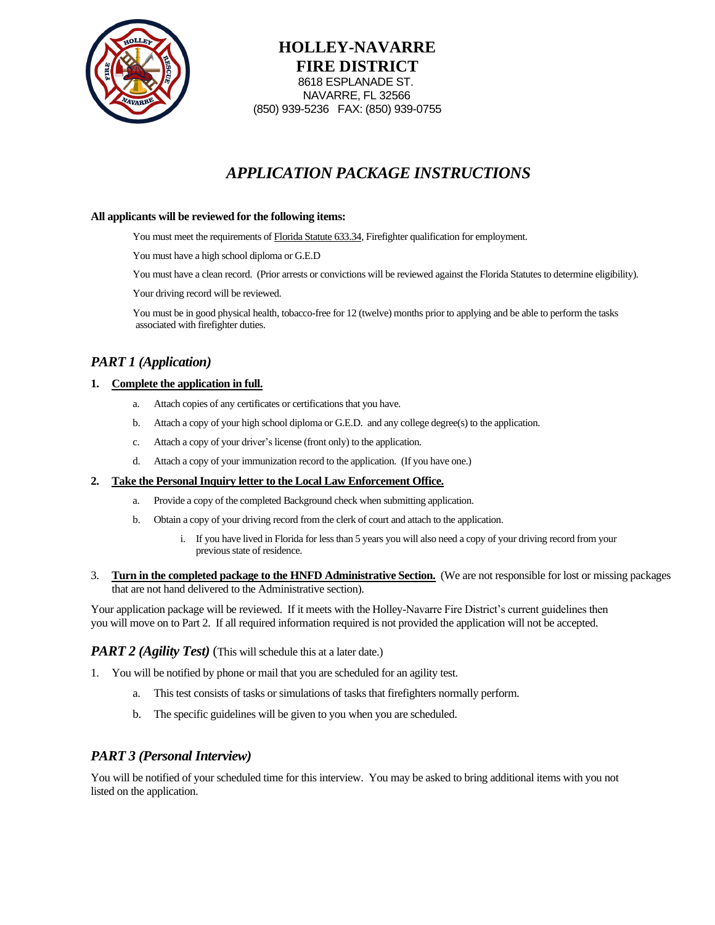

**HOLLEY-NAVARRE FIRE DISTRICT** 8618 ESPLANADE ST. NAVARRE, FL 32566 (850) 939-5236 FAX: (850) 939-0755

# *APPLICATION PACKAGE INSTRUCTIONS*

#### **All applicants will be reviewed for the following items:**

You must meet the requirements of Florida Statute 633.34, Firefighter qualification for employment.

You must have a high school diploma or G.E.D

You must have a clean record. (Prior arrests or convictions will be reviewed against the Florida Statutes to determine eligibility).

Your driving record will be reviewed.

You must be in good physical health, tobacco-free for 12 (twelve) months prior to applying and be able to perform the tasks associated with firefighter duties.

## *PART 1 (Application)*

#### **1. Complete the application in full.**

- a. Attach copies of any certificates or certifications that you have.
- b. Attach a copy of your high school diploma or G.E.D. and any college degree(s) to the application.
- c. Attach a copy of your driver's license (front only) to the application.
- d. Attach a copy of your immunization record to the application. (If you have one.)

#### **2. Take the Personal Inquiry letter to the Local Law Enforcement Office.**

- a. Provide a copy of the completed Background check when submitting application.
- b. Obtain a copy of your driving record from the clerk of court and attach to the application.
	- i. If you have lived in Florida for less than 5 years you will also need a copy of your driving record from your previous state of residence.
- 3. **Turn in the completed package to the HNFD Administrative Section.** (We are not responsible for lost or missing packages that are not hand delivered to the Administrative section).

Your application package will be reviewed. If it meets with the Holley-Navarre Fire District's current guidelines then you will move on to Part 2. If all required information required is not provided the application will not be accepted.

## *PART 2 (Agility Test)* (This will schedule this at a later date.)

- 1. You will be notified by phone or mail that you are scheduled for an agility test.
	- a. This test consists of tasks or simulations of tasks that firefighters normally perform.
	- b. The specific guidelines will be given to you when you are scheduled.

### *PART 3 (Personal Interview)*

You will be notified of your scheduled time for this interview. You may be asked to bring additional items with you not listed on the application.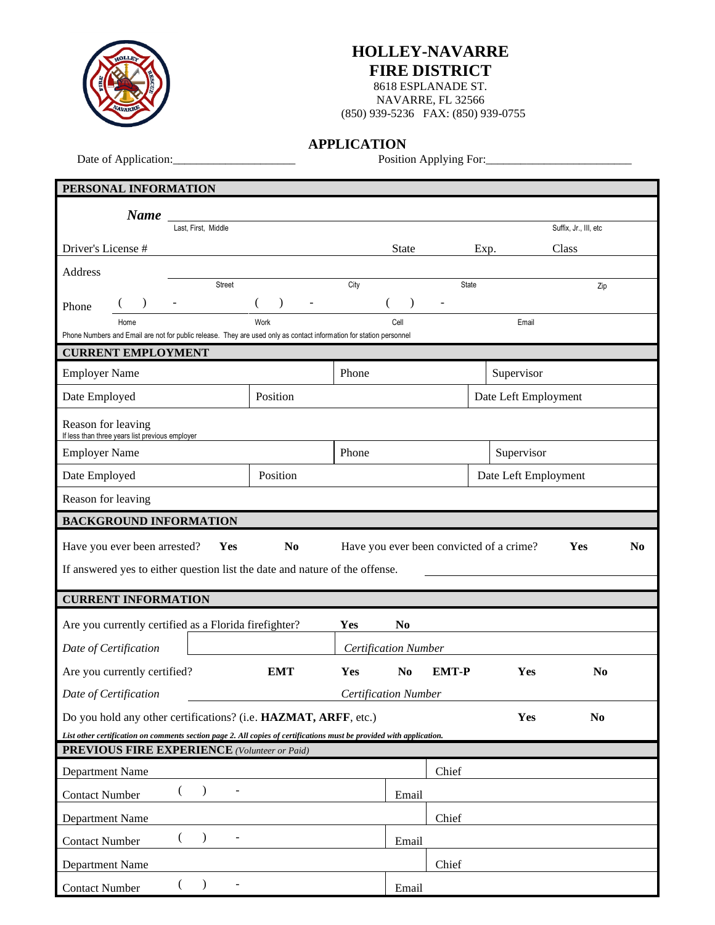

## **HOLLEY-NAVARRE FIRE DISTRICT**

8618 ESPLANADE ST. NAVARRE, FL 32566 (850) 939-5236 FAX: (850) 939-0755

**APPLICATION**

Date of Application:\_\_\_\_\_\_\_\_\_\_\_\_\_\_\_\_\_\_\_\_\_ Position Applying For:\_\_\_\_\_\_\_\_\_\_\_\_\_\_\_\_\_\_\_\_\_\_\_\_\_

| PERSONAL INFORMATION                                                                                                        |                                                   |                                          |                             |            |                       |
|-----------------------------------------------------------------------------------------------------------------------------|---------------------------------------------------|------------------------------------------|-----------------------------|------------|-----------------------|
| <b>Name</b>                                                                                                                 |                                                   |                                          |                             |            |                       |
| Last, First, Middle                                                                                                         |                                                   |                                          |                             |            | Suffix, Jr., III, etc |
| Driver's License #                                                                                                          |                                                   | <b>State</b>                             |                             | Exp.       | Class                 |
| Address                                                                                                                     |                                                   |                                          |                             |            |                       |
| Street                                                                                                                      |                                                   | City                                     |                             | State      | Zip                   |
| $\lambda$<br>$\blacksquare$<br>Phone                                                                                        | $\lambda$<br>$\left($<br>$\overline{\phantom{a}}$ | €                                        | $\lambda$<br>$\blacksquare$ |            |                       |
| Home<br>Phone Numbers and Email are not for public release. They are used only as contact information for station personnel | Work                                              | Cell                                     |                             |            | Email                 |
| <b>CURRENT EMPLOYMENT</b>                                                                                                   |                                                   |                                          |                             |            |                       |
| <b>Employer Name</b>                                                                                                        |                                                   | Phone                                    |                             | Supervisor |                       |
| Date Employed                                                                                                               | Position                                          |                                          |                             |            | Date Left Employment  |
| Reason for leaving<br>If less than three years list previous employer                                                       |                                                   |                                          |                             |            |                       |
| <b>Employer Name</b>                                                                                                        |                                                   | Phone                                    |                             |            | Supervisor            |
| Date Employed                                                                                                               | Position                                          |                                          |                             |            | Date Left Employment  |
| Reason for leaving                                                                                                          |                                                   |                                          |                             |            |                       |
| <b>BACKGROUND INFORMATION</b>                                                                                               |                                                   |                                          |                             |            |                       |
|                                                                                                                             |                                                   |                                          |                             |            |                       |
| Have you ever been arrested?<br>Yes                                                                                         | N <sub>0</sub>                                    | Have you ever been convicted of a crime? |                             |            | Yes<br>N <sub>0</sub> |
|                                                                                                                             |                                                   |                                          |                             |            |                       |
| If answered yes to either question list the date and nature of the offense.                                                 |                                                   |                                          |                             |            |                       |
| <b>CURRENT INFORMATION</b>                                                                                                  |                                                   |                                          |                             |            |                       |
| Are you currently certified as a Florida firefighter?                                                                       |                                                   | Yes<br>N <sub>0</sub>                    |                             |            |                       |
| Date of Certification                                                                                                       |                                                   | <b>Certification Number</b>              |                             |            |                       |
| Are you currently certified?                                                                                                | <b>EMT</b>                                        | Yes<br>N <sub>0</sub>                    | <b>EMT-P</b>                |            | Yes<br>N <sub>0</sub> |
| Date of Certification                                                                                                       |                                                   | <b>Certification Number</b>              |                             |            |                       |
| Do you hold any other certifications? (i.e. HAZMAT, ARFF, etc.)                                                             |                                                   |                                          |                             |            | Yes<br>N <sub>0</sub> |
| List other certification on comments section page 2. All copies of certifications must be provided with application.        |                                                   |                                          |                             |            |                       |
| <b>PREVIOUS FIRE EXPERIENCE</b> (Volunteer or Paid)                                                                         |                                                   |                                          |                             |            |                       |
| Department Name                                                                                                             |                                                   |                                          | Chief                       |            |                       |
| $\mathcal{E}$<br><b>Contact Number</b>                                                                                      |                                                   |                                          | Email                       |            |                       |
| Department Name                                                                                                             |                                                   |                                          | Chief                       |            |                       |
| $\lambda$<br>(<br><b>Contact Number</b>                                                                                     |                                                   |                                          | Email                       |            |                       |
| Department Name                                                                                                             |                                                   |                                          | Chief                       |            |                       |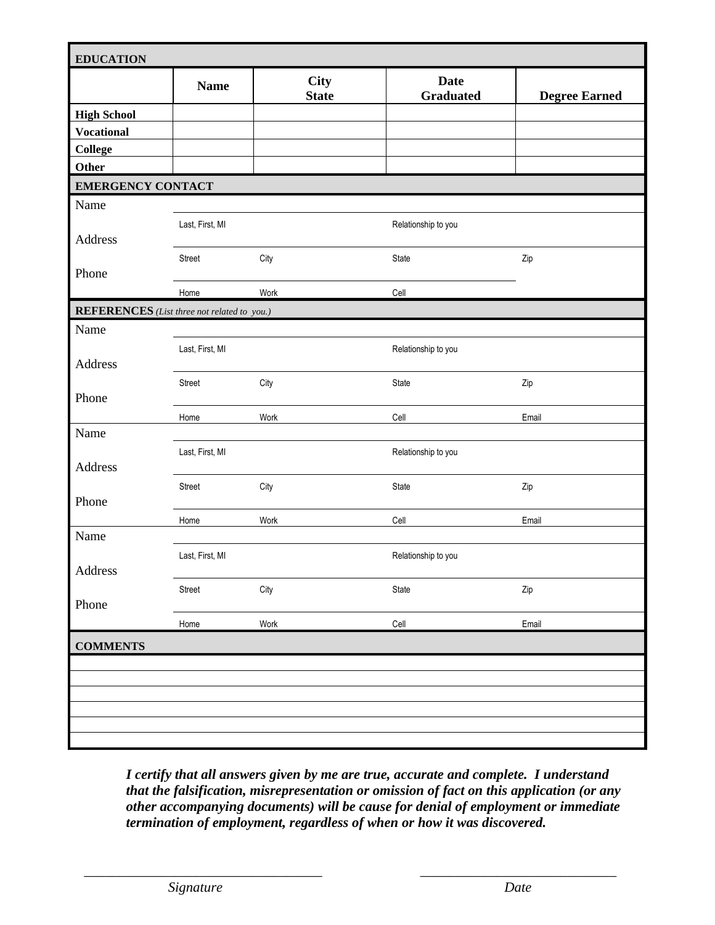|                          | <b>Name</b>                                        | <b>City</b><br><b>State</b> | <b>Date</b><br><b>Graduated</b> | <b>Degree Earned</b> |
|--------------------------|----------------------------------------------------|-----------------------------|---------------------------------|----------------------|
| <b>High School</b>       |                                                    |                             |                                 |                      |
| <b>Vocational</b>        |                                                    |                             |                                 |                      |
| <b>College</b>           |                                                    |                             |                                 |                      |
| Other                    |                                                    |                             |                                 |                      |
| <b>EMERGENCY CONTACT</b> |                                                    |                             |                                 |                      |
| Name                     |                                                    |                             |                                 |                      |
|                          | Last, First, MI                                    |                             | Relationship to you             |                      |
| Address                  |                                                    |                             |                                 |                      |
| Phone                    | Street                                             | City                        | State                           | Zip                  |
|                          | Home                                               | Work                        | Cell                            |                      |
|                          | <b>REFERENCES</b> (List three not related to you.) |                             |                                 |                      |
| Name                     |                                                    |                             |                                 |                      |
|                          |                                                    |                             |                                 |                      |
| Address                  | Last, First, MI                                    |                             | Relationship to you             |                      |
|                          | Street                                             | City                        | State                           | Zip                  |
| Phone                    |                                                    |                             |                                 |                      |
|                          | Home                                               | Work                        | Cell                            | Email                |
| Name                     |                                                    |                             |                                 |                      |
|                          | Last, First, MI                                    |                             | Relationship to you             |                      |
| Address                  |                                                    |                             |                                 |                      |
|                          | Street                                             | City                        | State                           | Zip                  |
| Phone                    |                                                    |                             |                                 |                      |
|                          | Home                                               | Work                        | Cell                            | Email                |
| Name                     |                                                    |                             |                                 |                      |
| Address                  | Last, First, MI                                    |                             | Relationship to you             |                      |
|                          | Street                                             | City                        | State                           | Zip                  |
| Phone                    |                                                    |                             |                                 |                      |
|                          | Home                                               | Work                        | Cell                            | Email                |
| <b>COMMENTS</b>          |                                                    |                             |                                 |                      |
|                          |                                                    |                             |                                 |                      |
|                          |                                                    |                             |                                 |                      |
|                          |                                                    |                             |                                 |                      |
|                          |                                                    |                             |                                 |                      |

*I certify that all answers given by me are true, accurate and complete. I understand that the falsification, misrepresentation or omission of fact on this application (or any other accompanying documents) will be cause for denial of employment or immediate termination of employment, regardless of when or how it was discovered.*

\_\_\_\_\_\_\_\_\_\_\_\_\_\_\_\_\_\_\_\_\_\_\_\_\_\_\_\_\_\_\_\_\_\_ \_\_\_\_\_\_\_\_\_\_\_\_\_\_\_\_\_\_\_\_\_\_\_\_\_\_\_\_